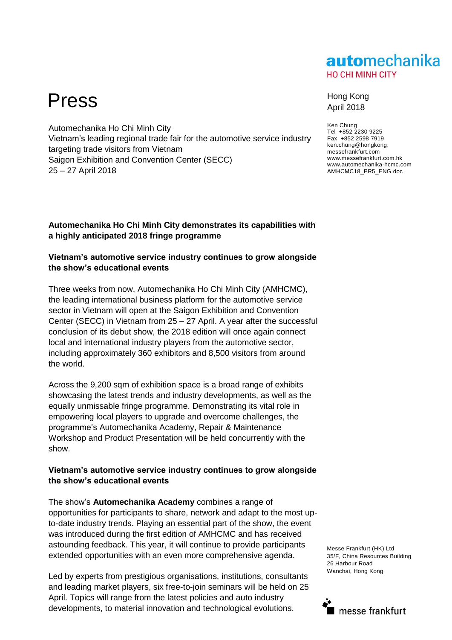## automechanika **HO CHI MINH CITY**

# Press Hong Kong

Automechanika Ho Chi Minh City Vietnam's leading regional trade fair for the automotive service industry targeting trade visitors from Vietnam Saigon Exhibition and Convention Center (SECC) 25 – 27 April 2018

### **Automechanika Ho Chi Minh City demonstrates its capabilities with a highly anticipated 2018 fringe programme**

### **Vietnam's automotive service industry continues to grow alongside the show's educational events**

Three weeks from now, Automechanika Ho Chi Minh City (AMHCMC), the leading international business platform for the automotive service sector in Vietnam will open at the Saigon Exhibition and Convention Center (SECC) in Vietnam from 25 – 27 April. A year after the successful conclusion of its debut show, the 2018 edition will once again connect local and international industry players from the automotive sector, including approximately 360 exhibitors and 8,500 visitors from around the world.

Across the 9,200 sqm of exhibition space is a broad range of exhibits showcasing the latest trends and industry developments, as well as the equally unmissable fringe programme. Demonstrating its vital role in empowering local players to upgrade and overcome challenges, the programme's Automechanika Academy, Repair & Maintenance Workshop and Product Presentation will be held concurrently with the show.

### **Vietnam's automotive service industry continues to grow alongside the show's educational events**

The show's **Automechanika Academy** combines a range of opportunities for participants to share, network and adapt to the most upto-date industry trends. Playing an essential part of the show, the event was introduced during the first edition of AMHCMC and has received astounding feedback. This year, it will continue to provide participants extended opportunities with an even more comprehensive agenda.

Led by experts from prestigious organisations, institutions, consultants and leading market players, six free-to-join seminars will be held on 25 April. Topics will range from the latest policies and auto industry developments, to material innovation and technological evolutions.

# April 2018

Ken Chung Tel +852 2230 9225 Fax +852 2598 7919 ken.chung@hongkong. messefrankfurt.com www.messefrankfurt.com.hk www.automechanika-hcmc.com AMHCMC18\_PR5\_ENG.doc

Messe Frankfurt (HK) Ltd 35/F, China Resources Building 26 Harbour Road Wanchai, Hong Kong

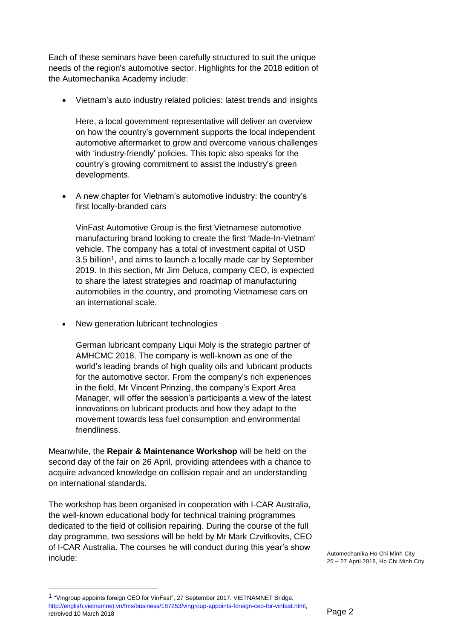Each of these seminars have been carefully structured to suit the unique needs of the region's automotive sector. Highlights for the 2018 edition of the Automechanika Academy include:

Vietnam's auto industry related policies: latest trends and insights

Here, a local government representative will deliver an overview on how the country's government supports the local independent automotive aftermarket to grow and overcome various challenges with 'industry-friendly' policies. This topic also speaks for the country's growing commitment to assist the industry's green developments.

 A new chapter for Vietnam's automotive industry: the country's first locally-branded cars

VinFast Automotive Group is the first Vietnamese automotive manufacturing brand looking to create the first 'Made-In-Vietnam' vehicle. The company has a total of investment capital of USD 3.5 billion1, and aims to launch a locally made car by September 2019. In this section, Mr Jim Deluca, company CEO, is expected to share the latest strategies and roadmap of manufacturing automobiles in the country, and promoting Vietnamese cars on an international scale.

New generation lubricant technologies

German lubricant company Liqui Moly is the strategic partner of AMHCMC 2018. The company is well-known as one of the world's leading brands of high quality oils and lubricant products for the automotive sector. From the company's rich experiences in the field, Mr Vincent Prinzing, the company's Export Area Manager, will offer the session's participants a view of the latest innovations on lubricant products and how they adapt to the movement towards less fuel consumption and environmental friendliness.

Meanwhile, the **Repair & Maintenance Workshop** will be held on the second day of the fair on 26 April, providing attendees with a chance to acquire advanced knowledge on collision repair and an understanding on international standards.

The workshop has been organised in cooperation with I-CAR Australia, the well-known educational body for technical training programmes dedicated to the field of collision repairing. During the course of the full day programme, two sessions will be held by Mr Mark Czvitkovits, CEO of I-CAR Australia. The courses he will conduct during this year's show include:

Automechanika Ho Chi Minh City 25 – 27 April 2018, Ho Chi Minh City

 $\overline{a}$ 

<sup>1</sup> "Vingroup appoints foreign CEO for VinFast", 27 September 2017. VIETNAMNET Bridge. [http://english.vietnamnet.vn/fms/business/187253/vingroup-appoints-foreign-ceo-for-vinfast.html,](http://english.vietnamnet.vn/fms/business/187253/vingroup-appoints-foreign-ceo-for-vinfast.html) retreived 10 March 2018